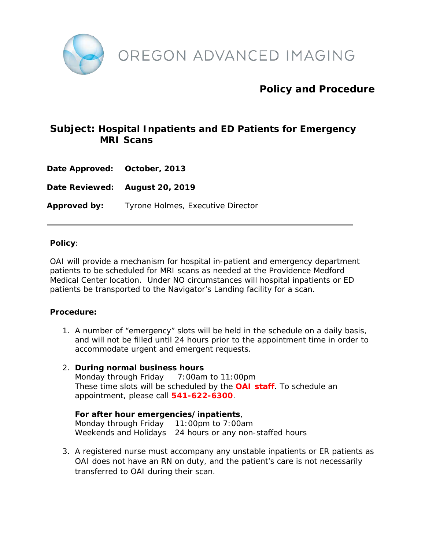

# **Policy and Procedure**

## **Subject: Hospital Inpatients and ED Patients for Emergency MRI Scans**

**Date Approved: October, 2013**

**Date Reviewed: August 20, 2019**

**Approved by:** Tyrone Holmes, Executive Director

#### **Policy**:

OAI will provide a mechanism for hospital in-patient and emergency department patients to be scheduled for MRI scans as needed at the Providence Medford Medical Center location. Under NO circumstances will hospital inpatients or ED patients be transported to the Navigator's Landing facility for a scan.

#### **Procedure:**

1. A number of "emergency" slots will be held in the schedule on a daily basis, and will not be filled until 24 hours prior to the appointment time in order to accommodate urgent and emergent requests.

#### 2. **During normal business hours**

Monday through Friday 7:00am to 11:00pm These time slots will be scheduled by the **OAI staff**. To schedule an appointment, please call **541-622-6300**.

**For after hour emergencies/inpatients**, Monday through Friday 11:00pm to 7:00am Weekends and Holidays 24 hours or any non-staffed hours

3. A registered nurse must accompany any unstable inpatients or ER patients as OAI does not have an RN on duty, and the patient's care is not necessarily transferred to OAI during their scan.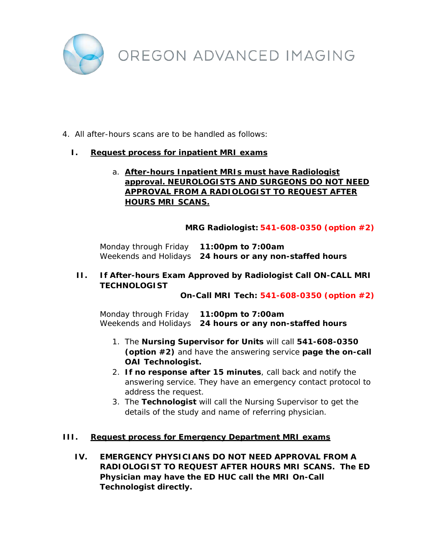

### 4. All after-hours scans are to be handled as follows:

#### **I. Request process for inpatient MRI exams**

### a. **After-hours Inpatient MRIs must have Radiologist approval. NEUROLOGISTS AND SURGEONS DO NOT NEED APPROVAL FROM A RADIOLOGIST TO REQUEST AFTER HOURS MRI SCANS.**

#### **MRG Radiologist: 541-608-0350 (option #2)**

Monday through Friday **11:00pm to 7:00am** Weekends and Holidays **24 hours or any non-staffed hours**

### **II. If After-hours Exam Approved by Radiologist Call ON-CALL MRI TECHNOLOGIST**

**On-Call MRI Tech: 541-608-0350 (option #2)**

Monday through Friday **11:00pm to 7:00am** Weekends and Holidays **24 hours or any non-staffed hours**

- 1. The **Nursing Supervisor for Units** will call **541-608-0350 (option #2)** and have the answering service **page the on-call OAI Technologist.**
- 2. **If no response after 15 minutes**, call back and notify the answering service. They have an emergency contact protocol to address the request.
- 3. The **Technologist** will call the Nursing Supervisor to get the details of the study and name of referring physician.

#### **III. Request process for Emergency Department MRI exams**

**IV. EMERGENCY PHYSICIANS DO NOT NEED APPROVAL FROM A RADIOLOGIST TO REQUEST AFTER HOURS MRI SCANS. The ED Physician may have the ED HUC call the MRI On-Call Technologist directly.**